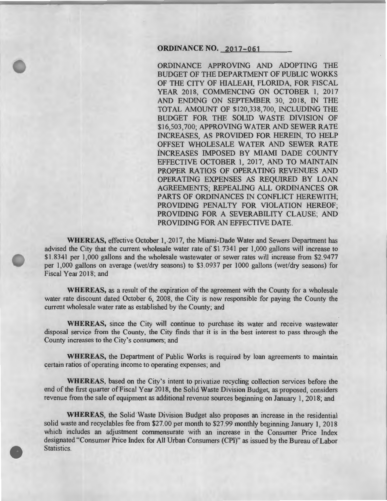## **ORDINANCE NO. 2017-061**

ORDINANCE APPROVING AND ADOPTING THE BUDGET OF THE DEPARTMENT OF PUBLIC WORKS OF THE CITY OF HIALEAH, FLORIDA, FOR FISCAL YEAR 2018, COMMENCING ON OCTOBER 1, 2017 AND ENDING ON SEPTEMBER 30, 2018, IN THE TOTAL AMOUNT OF \$120,338,700, INCLUDING THE BUDGET FOR THE SOLID WASTE DIVISION OF \$16,503,700; APPROVING WATER AND SEWER RATE INCREASES, AS PROVIDED FOR HEREIN, TO HELP OFFSET WHOLESALE WATER AND SEWER RATE INCREASES IMPOSED BY MIAMI DADE COUNTY EFFECTIVE OCTOBER 1, 2017, AND TO MAINTAIN PROPER RATIOS OF OPERATING REVENUES AND OPERATING EXPENSES AS REQUIRED BY LOAN AGREEMENTS; REPEALING ALL ORDINANCES OR PARTS OF ORDINANCES IN CONFLICT HEREWITH; PROVIDING PENALTY FOR VIOLATION HEREOF; PROVIDING FOR A SEVERABILITY CLAUSE; AND PROVIDING FOR AN EFFECTIVE DATE.

WHEREAS, effective October 1, 2017, the Miami-Dade Water and Sewers Department has advised the City that the current wholesale water rate of \$1.7341 per 1,000 gallons will increase to \$1.8341 per 1,000 gallons and the wholesale wastewater or sewer rates will increase from \$2.9477 per 1,000 gallons on average (wet/dry seasons) to \$3.0937 per 1000 gallons (wet/dry seasons) for Fiscal Year 2018; and

WHEREAS, as a result of the expiration of the agreement with the County for a wholesale water rate discount dated October 6, 2008, the City is now responsible for paying the County the current wholesale water rate as established by the County; and

WHEREAS, since the City will continue to purchase its water and receive wastewater disposal service from the County, the City finds that it is in the best interest to pass through the County increases to the City's consumers; and

WHEREAS, the Department of Public Works is required by loan agreements to maintain certain ratios of operating income to operating expenses; and

WHEREAS, based on the City's intent to privatize recycling collection services before the end of the first quarter of Fiscal Year 2018, the Solid Waste Division Budget, as proposed, considers revenue from the sale of equipment as additional revenue sources beginning on January 1, 2018; and

WHEREAS, the Solid Waste Division Budget also proposes an increase in the residential solid waste and recyclables fee from \$27.00 per month to \$27.99 monthly beginning January 1, 2018 which includes an adjustment commensurate with an increase in the Consumer Price Index designated "Consumer Price Index for All Urban Consumers (CPI)" as issued by the Bureau of Labor Statistics.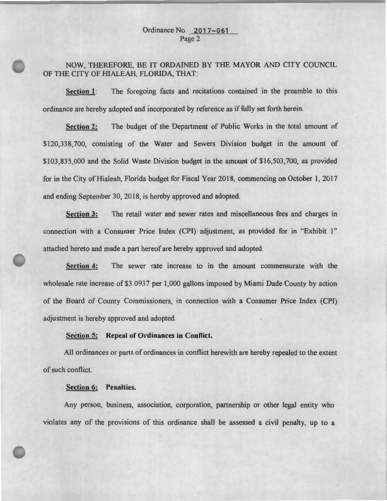# Ordinance No. 2017-061 Page 2

NOW, THEREFORE, BE IT ORDAINED BY THE MAYOR AND CITY COUNCIL OF THE CITY OF HIALEAH, FLORIDA, THAT:

Section 1: The foregoing facts and recitations contained in the preamble to this ordinance are hereby adopted and incorporated by reference as if fully set forth herein.

Section 2: The budget of the Department of Public Works in the total amount of \$120,338,700, consisting of the Water and Sewers Division budget in the amount of \$103,835,000 and the Solid Waste Division budget in the amount of \$16,503,700, as provided for in the City of Hialeah, Florida budget for Fiscal Year 2018, commencing on October 1, 2017 and ending September 30, 2018, is hereby approved and adopted.

Section 3: The retail water and sewer rates and miscellaneous fees and charges in connection with a Consumer Price Index (CPI) adjustment, as provided for in "Exhibit 1" attached hereto and made a part hereof are hereby approved and adopted.

Section 4: The sewer rate increase to in the amount commensurate with the wholesale rate increase of \$3 .0937 per 1,000 gallons imposed by Miami Dade County by action of the Board of County Commissioners, in connection with a Consumer Price Index (CPI) adjustment is hereby approved and adopted.

# Section 5: Repeal of Ordinances in Conflict.

All ordinances or parts of ordinances in conflict herewith are hereby repealed to the extent of such conflict.

#### Section 6: Penalties.

Any person, business, association, corporation, partnership or other legal entity who violates any of the provisions of this ordinance shall be assessed a civil penalty, up to a